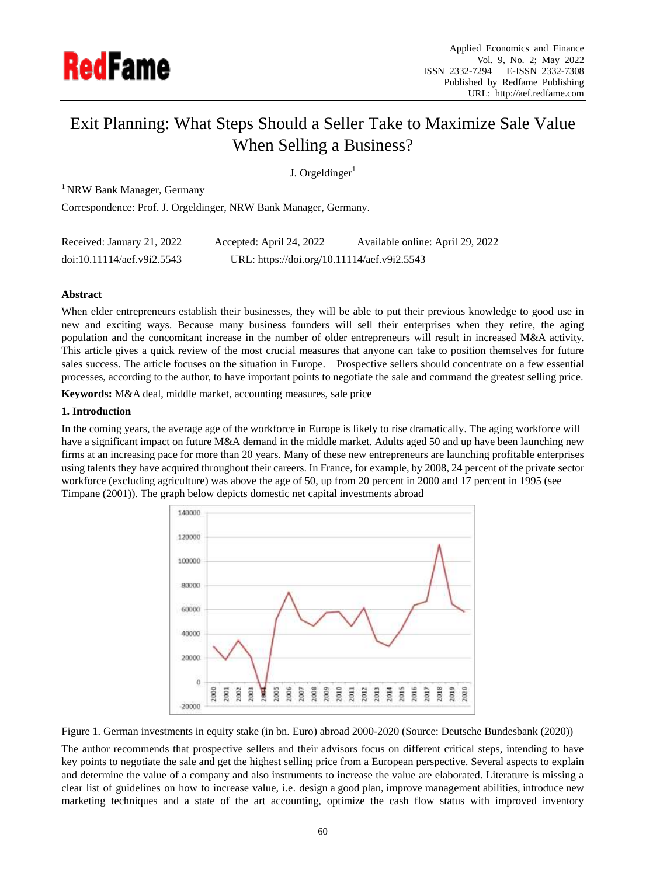

# Exit Planning: What Steps Should a Seller Take to Maximize Sale Value When Selling a Business?

J. Orgeldinger $<sup>1</sup>$ </sup>

<sup>1</sup> NRW Bank Manager, Germany

Correspondence: Prof. J. Orgeldinger, NRW Bank Manager, Germany.

| Received: January 21, 2022 | Accepted: April 24, 2022                    | Available online: April 29, 2022 |
|----------------------------|---------------------------------------------|----------------------------------|
| doi:10.11114/aef.v9i2.5543 | URL: https://doi.org/10.11114/aef.v9i2.5543 |                                  |

## **Abstract**

When elder entrepreneurs establish their businesses, they will be able to put their previous knowledge to good use in new and exciting ways. Because many business founders will sell their enterprises when they retire, the aging population and the concomitant increase in the number of older entrepreneurs will result in increased M&A activity. This article gives a quick review of the most crucial measures that anyone can take to position themselves for future sales success. The article focuses on the situation in Europe. Prospective sellers should concentrate on a few essential processes, according to the author, to have important points to negotiate the sale and command the greatest selling price.

**Keywords:** M&A deal, middle market, accounting measures, sale price

## **1. Introduction**

In the coming years, the average age of the workforce in Europe is likely to rise dramatically. The aging workforce will have a significant impact on future M&A demand in the middle market. Adults aged 50 and up have been launching new firms at an increasing pace for more than 20 years. Many of these new entrepreneurs are launching profitable enterprises using talents they have acquired throughout their careers. In France, for example, by 2008, 24 percent of the private sector workforce (excluding agriculture) was above the age of 50, up from 20 percent in 2000 and 17 percent in 1995 (see Timpane (2001)). The graph below depicts domestic net capital investments abroad



Figure 1. German investments in equity stake (in bn. Euro) abroad 2000-2020 (Source: Deutsche Bundesbank (2020))

The author recommends that prospective sellers and their advisors focus on different critical steps, intending to have key points to negotiate the sale and get the highest selling price from a European perspective. Several aspects to explain and determine the value of a company and also instruments to increase the value are elaborated. Literature is missing a clear list of guidelines on how to increase value, i.e. design a good plan, improve management abilities, introduce new marketing techniques and a state of the art accounting, optimize the cash flow status with improved inventory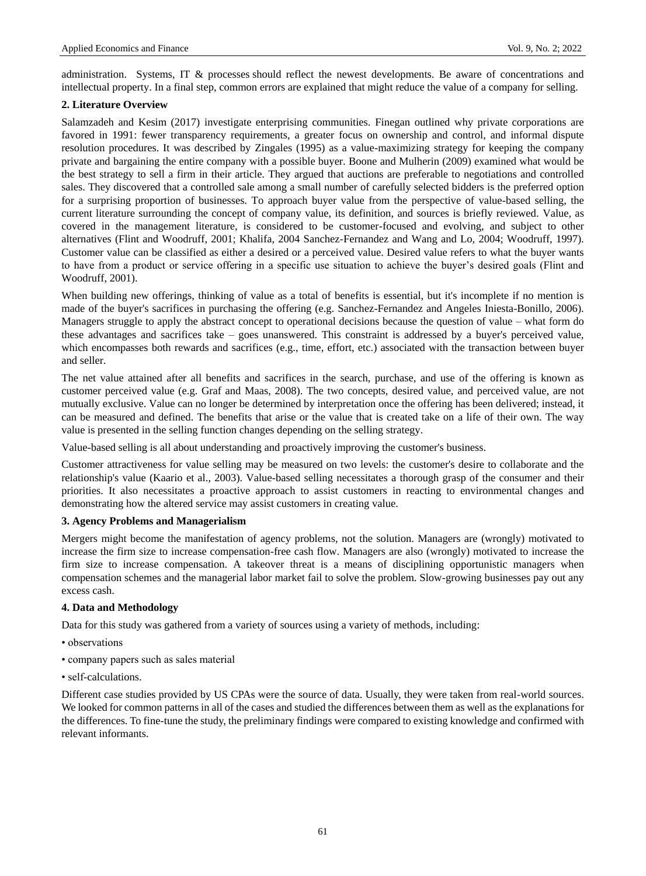administration. Systems, IT & processes should reflect the newest developments. Be aware of concentrations and intellectual property. In a final step, common errors are explained that might reduce the value of a company for selling.

## **2. Literature Overview**

Salamzadeh and Kesim (2017) investigate enterprising communities. Finegan outlined why private corporations are favored in 1991: fewer transparency requirements, a greater focus on ownership and control, and informal dispute resolution procedures. It was described by Zingales (1995) as a value-maximizing strategy for keeping the company private and bargaining the entire company with a possible buyer. Boone and Mulherin (2009) examined what would be the best strategy to sell a firm in their article. They argued that auctions are preferable to negotiations and controlled sales. They discovered that a controlled sale among a small number of carefully selected bidders is the preferred option for a surprising proportion of businesses. To approach buyer value from the perspective of value-based selling, the current literature surrounding the concept of company value, its definition, and sources is briefly reviewed. Value, as covered in the management literature, is considered to be customer-focused and evolving, and subject to other alternatives (Flint and Woodruff, 2001; Khalifa, 2004 Sanchez-Fernandez and Wang and Lo, 2004; Woodruff, 1997). Customer value can be classified as either a desired or a perceived value. Desired value refers to what the buyer wants to have from a product or service offering in a specific use situation to achieve the buyer's desired goals (Flint and Woodruff, 2001).

When building new offerings, thinking of value as a total of benefits is essential, but it's incomplete if no mention is made of the buyer's sacrifices in purchasing the offering (e.g. Sanchez-Fernandez and Angeles Iniesta-Bonillo, 2006). Managers struggle to apply the abstract concept to operational decisions because the question of value – what form do these advantages and sacrifices take – goes unanswered. This constraint is addressed by a buyer's perceived value, which encompasses both rewards and sacrifices (e.g., time, effort, etc.) associated with the transaction between buyer and seller.

The net value attained after all benefits and sacrifices in the search, purchase, and use of the offering is known as customer perceived value (e.g. Graf and Maas, 2008). The two concepts, desired value, and perceived value, are not mutually exclusive. Value can no longer be determined by interpretation once the offering has been delivered; instead, it can be measured and defined. The benefits that arise or the value that is created take on a life of their own. The way value is presented in the selling function changes depending on the selling strategy.

Value-based selling is all about understanding and proactively improving the customer's business.

Customer attractiveness for value selling may be measured on two levels: the customer's desire to collaborate and the relationship's value (Kaario et al., 2003). Value-based selling necessitates a thorough grasp of the consumer and their priorities. It also necessitates a proactive approach to assist customers in reacting to environmental changes and demonstrating how the altered service may assist customers in creating value.

# **3. Agency Problems and Managerialism**

Mergers might become the manifestation of agency problems, not the solution. Managers are (wrongly) motivated to increase the firm size to increase compensation-free cash flow. Managers are also (wrongly) motivated to increase the firm size to increase compensation. A takeover threat is a means of disciplining opportunistic managers when compensation schemes and the managerial labor market fail to solve the problem. Slow-growing businesses pay out any excess cash.

# **4. Data and Methodology**

Data for this study was gathered from a variety of sources using a variety of methods, including:

- observations
- company papers such as sales material
- self-calculations.

Different case studies provided by US CPAs were the source of data. Usually, they were taken from real-world sources. We looked for common patterns in all of the cases and studied the differences between them as well as the explanations for the differences. To fine-tune the study, the preliminary findings were compared to existing knowledge and confirmed with relevant informants.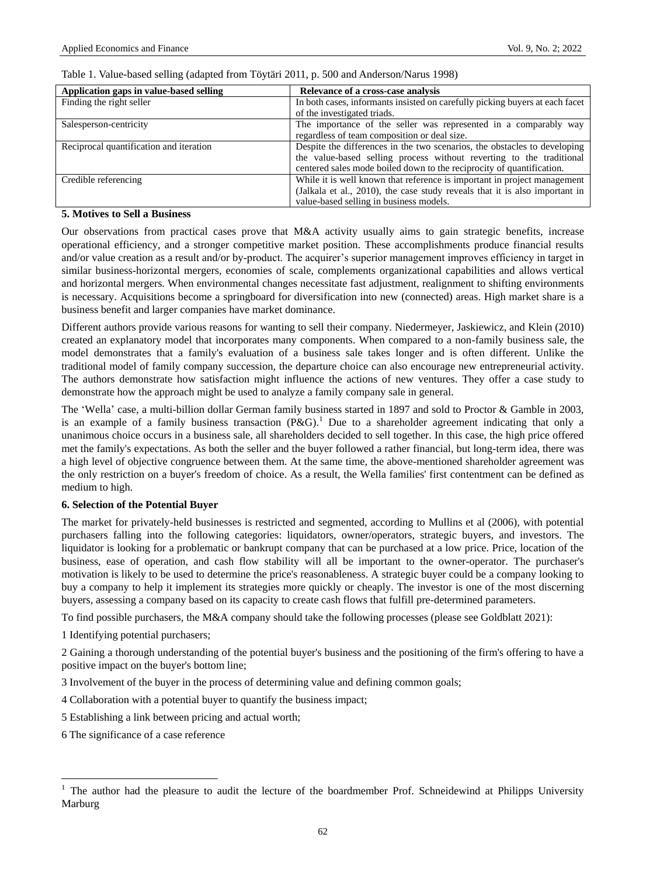| Application gaps in value-based selling | Relevance of a cross-case analysis                                           |
|-----------------------------------------|------------------------------------------------------------------------------|
| Finding the right seller                | In both cases, informants insisted on carefully picking buyers at each facet |
|                                         | of the investigated triads.                                                  |
| Salesperson-centricity                  | The importance of the seller was represented in a comparably way             |
|                                         | regardless of team composition or deal size.                                 |
| Reciprocal quantification and iteration | Despite the differences in the two scenarios, the obstacles to developing    |
|                                         | the value-based selling process without reverting to the traditional         |
|                                         | centered sales mode boiled down to the reciprocity of quantification.        |
| Credible referencing                    | While it is well known that reference is important in project management     |
|                                         | (Jalkala et al., 2010), the case study reveals that it is also important in  |
|                                         | value-based selling in business models.                                      |

#### Table 1. Value-based selling (adapted from Töytäri 2011, p. 500 and Anderson/Narus 1998)

#### **5. Motives to Sell a Business**

Our observations from practical cases prove that M&A activity usually aims to gain strategic benefits, increase operational efficiency, and a stronger competitive market position. These accomplishments produce financial results and/or value creation as a result and/or by-product. The acquirer's superior management improves efficiency in target in similar business-horizontal mergers, economies of scale, complements organizational capabilities and allows vertical and horizontal mergers. When environmental changes necessitate fast adjustment, realignment to shifting environments is necessary. Acquisitions become a springboard for diversification into new (connected) areas. High market share is a business benefit and larger companies have market dominance.

Different authors provide various reasons for wanting to sell their company. Niedermeyer, Jaskiewicz, and Klein (2010) created an explanatory model that incorporates many components. When compared to a non-family business sale, the model demonstrates that a family's evaluation of a business sale takes longer and is often different. Unlike the traditional model of family company succession, the departure choice can also encourage new entrepreneurial activity. The authors demonstrate how satisfaction might influence the actions of new ventures. They offer a case study to demonstrate how the approach might be used to analyze a family company sale in general.

The 'Wella' case, a multi-billion dollar German family business started in 1897 and sold to Proctor & Gamble in 2003, is an example of a family business transaction  $(P\&G)$ .<sup>1</sup> Due to a shareholder agreement indicating that only a unanimous choice occurs in a business sale, all shareholders decided to sell together. In this case, the high price offered met the family's expectations. As both the seller and the buyer followed a rather financial, but long-term idea, there was a high level of objective congruence between them. At the same time, the above-mentioned shareholder agreement was the only restriction on a buyer's freedom of choice. As a result, the Wella families' first contentment can be defined as medium to high.

#### **6. Selection of the Potential Buyer**

The market for privately-held businesses is restricted and segmented, according to Mullins et al (2006), with potential purchasers falling into the following categories: liquidators, owner/operators, strategic buyers, and investors. The liquidator is looking for a problematic or bankrupt company that can be purchased at a low price. Price, location of the business, ease of operation, and cash flow stability will all be important to the owner-operator. The purchaser's motivation is likely to be used to determine the price's reasonableness. A strategic buyer could be a company looking to buy a company to help it implement its strategies more quickly or cheaply. The investor is one of the most discerning buyers, assessing a company based on its capacity to create cash flows that fulfill pre-determined parameters.

To find possible purchasers, the M&A company should take the following processes (please see Goldblatt 2021):

1 Identifying potential purchasers;

2 Gaining a thorough understanding of the potential buyer's business and the positioning of the firm's offering to have a positive impact on the buyer's bottom line;

3 Involvement of the buyer in the process of determining value and defining common goals;

4 Collaboration with a potential buyer to quantify the business impact;

- 5 Establishing a link between pricing and actual worth;
- 6 The significance of a case reference

 $\overline{a}$ 

<sup>1</sup> The author had the pleasure to audit the lecture of the boardmember Prof. Schneidewind at Philipps University Marburg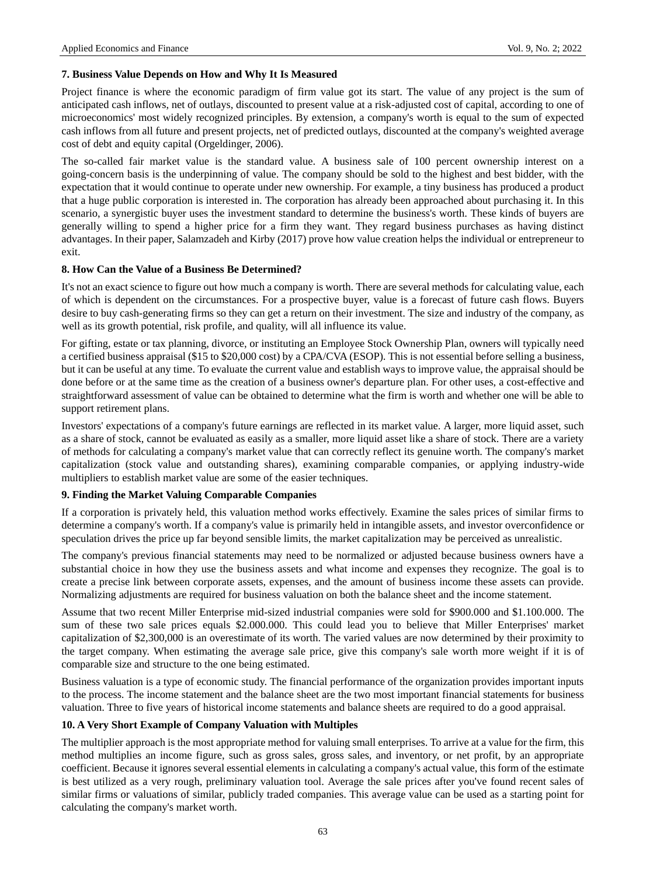## **7. Business Value Depends on How and Why It Is Measured**

Project finance is where the economic paradigm of firm value got its start. The value of any project is the sum of anticipated cash inflows, net of outlays, discounted to present value at a risk-adjusted cost of capital, according to one of microeconomics' most widely recognized principles. By extension, a company's worth is equal to the sum of expected cash inflows from all future and present projects, net of predicted outlays, discounted at the company's weighted average cost of debt and equity capital (Orgeldinger, 2006).

The so-called fair market value is the standard value. A business sale of 100 percent ownership interest on a going-concern basis is the underpinning of value. The company should be sold to the highest and best bidder, with the expectation that it would continue to operate under new ownership. For example, a tiny business has produced a product that a huge public corporation is interested in. The corporation has already been approached about purchasing it. In this scenario, a synergistic buyer uses the investment standard to determine the business's worth. These kinds of buyers are generally willing to spend a higher price for a firm they want. They regard business purchases as having distinct advantages. In their paper, Salamzadeh and Kirby (2017) prove how value creation helps the individual or entrepreneur to exit.

## **8. How Can the Value of a Business Be Determined?**

It's not an exact science to figure out how much a company is worth. There are several methods for calculating value, each of which is dependent on the circumstances. For a prospective buyer, value is a forecast of future cash flows. Buyers desire to buy cash-generating firms so they can get a return on their investment. The size and industry of the company, as well as its growth potential, risk profile, and quality, will all influence its value.

For gifting, estate or tax planning, divorce, or instituting an Employee Stock Ownership Plan, owners will typically need a certified business appraisal (\$15 to \$20,000 cost) by a CPA/CVA (ESOP). This is not essential before selling a business, but it can be useful at any time. To evaluate the current value and establish ways to improve value, the appraisal should be done before or at the same time as the creation of a business owner's departure plan. For other uses, a cost-effective and straightforward assessment of value can be obtained to determine what the firm is worth and whether one will be able to support retirement plans.

Investors' expectations of a company's future earnings are reflected in its market value. A larger, more liquid asset, such as a share of stock, cannot be evaluated as easily as a smaller, more liquid asset like a share of stock. There are a variety of methods for calculating a company's market value that can correctly reflect its genuine worth. The company's market capitalization (stock value and outstanding shares), examining comparable companies, or applying industry-wide multipliers to establish market value are some of the easier techniques.

## **9. Finding the Market Valuing Comparable Companies**

If a corporation is privately held, this valuation method works effectively. Examine the sales prices of similar firms to determine a company's worth. If a company's value is primarily held in intangible assets, and investor overconfidence or speculation drives the price up far beyond sensible limits, the market capitalization may be perceived as unrealistic.

The company's previous financial statements may need to be normalized or adjusted because business owners have a substantial choice in how they use the business assets and what income and expenses they recognize. The goal is to create a precise link between corporate assets, expenses, and the amount of business income these assets can provide. Normalizing adjustments are required for business valuation on both the balance sheet and the income statement.

Assume that two recent Miller Enterprise mid-sized industrial companies were sold for \$900.000 and \$1.100.000. The sum of these two sale prices equals \$2.000.000. This could lead you to believe that Miller Enterprises' market capitalization of \$2,300,000 is an overestimate of its worth. The varied values are now determined by their proximity to the target company. When estimating the average sale price, give this company's sale worth more weight if it is of comparable size and structure to the one being estimated.

Business valuation is a type of economic study. The financial performance of the organization provides important inputs to the process. The income statement and the balance sheet are the two most important financial statements for business valuation. Three to five years of historical income statements and balance sheets are required to do a good appraisal.

## **10. A Very Short Example of Company Valuation with Multiples**

The multiplier approach is the most appropriate method for valuing small enterprises. To arrive at a value for the firm, this method multiplies an income figure, such as gross sales, gross sales, and inventory, or net profit, by an appropriate coefficient. Because it ignores several essential elements in calculating a company's actual value, this form of the estimate is best utilized as a very rough, preliminary valuation tool. Average the sale prices after you've found recent sales of similar firms or valuations of similar, publicly traded companies. This average value can be used as a starting point for calculating the company's market worth.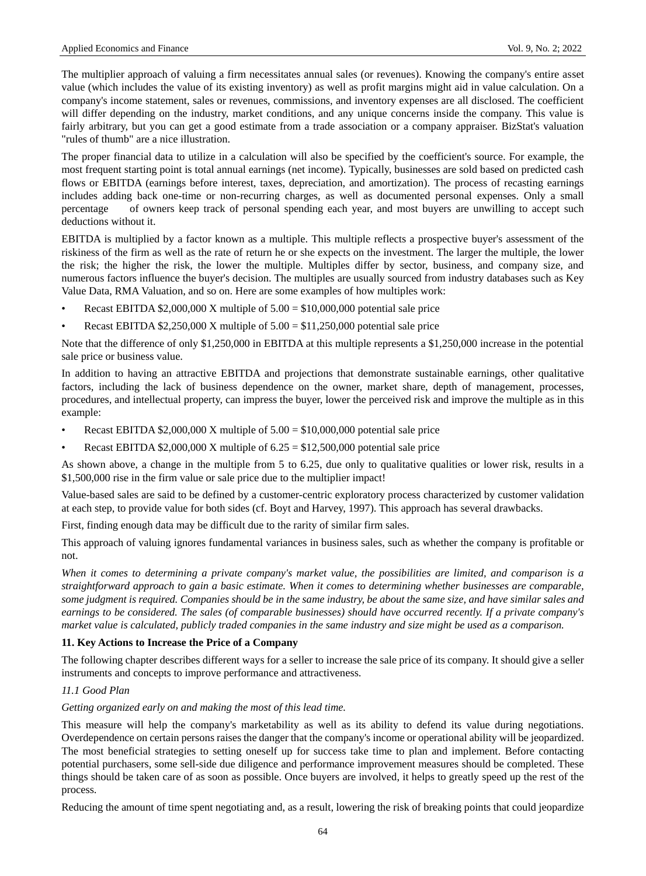The multiplier approach of valuing a firm necessitates annual sales (or revenues). Knowing the company's entire asset value (which includes the value of its existing inventory) as well as profit margins might aid in value calculation. On a company's income statement, sales or revenues, commissions, and inventory expenses are all disclosed. The coefficient will differ depending on the industry, market conditions, and any unique concerns inside the company. This value is fairly arbitrary, but you can get a good estimate from a trade association or a company appraiser. BizStat's valuation "rules of thumb" are a nice illustration.

The proper financial data to utilize in a calculation will also be specified by the coefficient's source. For example, the most frequent starting point is total annual earnings (net income). Typically, businesses are sold based on predicted cash flows or EBITDA (earnings before interest, taxes, depreciation, and amortization). The process of recasting earnings includes adding back one-time or non-recurring charges, as well as documented personal expenses. Only a small percentage of owners keep track of personal spending each year, and most buyers are unwilling to accept such deductions without it.

EBITDA is multiplied by a factor known as a multiple. This multiple reflects a prospective buyer's assessment of the riskiness of the firm as well as the rate of return he or she expects on the investment. The larger the multiple, the lower the risk; the higher the risk, the lower the multiple. Multiples differ by sector, business, and company size, and numerous factors influence the buyer's decision. The multiples are usually sourced from industry databases such as Key Value Data, RMA Valuation, and so on. Here are some examples of how multiples work:

- Recast EBITDA  $$2,000,000$  X multiple of  $5.00 = $10,000,000$  potential sale price
- Recast EBITDA  $$2,250,000$  X multiple of  $5.00 = $11,250,000$  potential sale price

Note that the difference of only \$1,250,000 in EBITDA at this multiple represents a \$1,250,000 increase in the potential sale price or business value.

In addition to having an attractive EBITDA and projections that demonstrate sustainable earnings, other qualitative factors, including the lack of business dependence on the owner, market share, depth of management, processes, procedures, and intellectual property, can impress the buyer, lower the perceived risk and improve the multiple as in this example:

- Recast EBITDA  $$2,000,000$  X multiple of  $5.00 = $10,000,000$  potential sale price
- Recast EBITDA  $$2,000,000$  X multiple of  $6.25 = $12,500,000$  potential sale price

As shown above, a change in the multiple from 5 to 6.25, due only to qualitative qualities or lower risk, results in a \$1,500,000 rise in the firm value or sale price due to the multiplier impact!

Value-based sales are said to be defined by a customer-centric exploratory process characterized by customer validation at each step, to provide value for both sides (cf. Boyt and Harvey, 1997). This approach has several drawbacks.

First, finding enough data may be difficult due to the rarity of similar firm sales.

This approach of valuing ignores fundamental variances in business sales, such as whether the company is profitable or not.

*When it comes to determining a private company's market value, the possibilities are limited, and comparison is a straightforward approach to gain a basic estimate. When it comes to determining whether businesses are comparable, some judgment is required. Companies should be in the same industry, be about the same size, and have similar sales and earnings to be considered. The sales (of comparable businesses) should have occurred recently. If a private company's market value is calculated, publicly traded companies in the same industry and size might be used as a comparison.*

## **11. Key Actions to Increase the Price of a Company**

The following chapter describes different ways for a seller to increase the sale price of its company. It should give a seller instruments and concepts to improve performance and attractiveness.

## *11.1 Good Plan*

#### *Getting organized early on and making the most of this lead time.*

This measure will help the company's marketability as well as its ability to defend its value during negotiations. Overdependence on certain persons raises the danger that the company's income or operational ability will be jeopardized. The most beneficial strategies to setting oneself up for success take time to plan and implement. Before contacting potential purchasers, some sell-side due diligence and performance improvement measures should be completed. These things should be taken care of as soon as possible. Once buyers are involved, it helps to greatly speed up the rest of the process.

Reducing the amount of time spent negotiating and, as a result, lowering the risk of breaking points that could jeopardize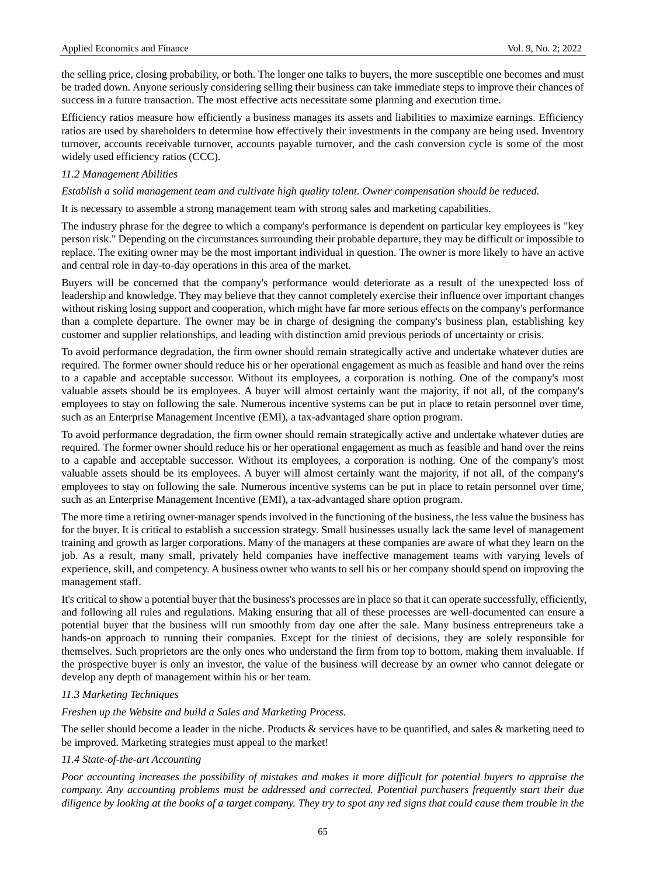the selling price, closing probability, or both. The longer one talks to buyers, the more susceptible one becomes and must be traded down. Anyone seriously considering selling their business can take immediate steps to improve their chances of success in a future transaction. The most effective acts necessitate some planning and execution time.

Efficiency ratios measure how efficiently a business manages its assets and liabilities to maximize earnings. Efficiency ratios are used by shareholders to determine how effectively their investments in the company are being used. Inventory turnover, accounts receivable turnover, accounts payable turnover, and the cash conversion cycle is some of the most widely used efficiency ratios (CCC).

## *11.2 Management Abilities*

#### *Establish a solid management team and cultivate high quality talent. Owner compensation should be reduced.*

It is necessary to assemble a strong management team with strong sales and marketing capabilities.

The industry phrase for the degree to which a company's performance is dependent on particular key employees is "key person risk." Depending on the circumstances surrounding their probable departure, they may be difficult or impossible to replace. The exiting owner may be the most important individual in question. The owner is more likely to have an active and central role in day-to-day operations in this area of the market.

Buyers will be concerned that the company's performance would deteriorate as a result of the unexpected loss of leadership and knowledge. They may believe that they cannot completely exercise their influence over important changes without risking losing support and cooperation, which might have far more serious effects on the company's performance than a complete departure. The owner may be in charge of designing the company's business plan, establishing key customer and supplier relationships, and leading with distinction amid previous periods of uncertainty or crisis.

To avoid performance degradation, the firm owner should remain strategically active and undertake whatever duties are required. The former owner should reduce his or her operational engagement as much as feasible and hand over the reins to a capable and acceptable successor. Without its employees, a corporation is nothing. One of the company's most valuable assets should be its employees. A buyer will almost certainly want the majority, if not all, of the company's employees to stay on following the sale. Numerous incentive systems can be put in place to retain personnel over time, such as an Enterprise Management Incentive (EMI), a tax-advantaged share option program.

To avoid performance degradation, the firm owner should remain strategically active and undertake whatever duties are required. The former owner should reduce his or her operational engagement as much as feasible and hand over the reins to a capable and acceptable successor. Without its employees, a corporation is nothing. One of the company's most valuable assets should be its employees. A buyer will almost certainly want the majority, if not all, of the company's employees to stay on following the sale. Numerous incentive systems can be put in place to retain personnel over time, such as an Enterprise Management Incentive (EMI), a tax-advantaged share option program.

The more time a retiring owner-manager spends involved in the functioning of the business, the less value the business has for the buyer. It is critical to establish a succession strategy. Small businesses usually lack the same level of management training and growth as larger corporations. Many of the managers at these companies are aware of what they learn on the job. As a result, many small, privately held companies have ineffective management teams with varying levels of experience, skill, and competency. A business owner who wants to sell his or her company should spend on improving the management staff.

It's critical to show a potential buyer that the business's processes are in place so that it can operate successfully, efficiently, and following all rules and regulations. Making ensuring that all of these processes are well-documented can ensure a potential buyer that the business will run smoothly from day one after the sale. Many business entrepreneurs take a hands-on approach to running their companies. Except for the tiniest of decisions, they are solely responsible for themselves. Such proprietors are the only ones who understand the firm from top to bottom, making them invaluable. If the prospective buyer is only an investor, the value of the business will decrease by an owner who cannot delegate or develop any depth of management within his or her team.

## *11.3 Marketing Techniques*

## *Freshen up the Website and build a Sales and Marketing Process.*

The seller should become a leader in the niche. Products & services have to be quantified, and sales & marketing need to be improved. Marketing strategies must appeal to the market!

## *11.4 State-of-the-art Accounting*

*Poor accounting increases the possibility of mistakes and makes it more difficult for potential buyers to appraise the company. Any accounting problems must be addressed and corrected. Potential purchasers frequently start their due diligence by looking at the books of a target company. They try to spot any red signs that could cause them trouble in the*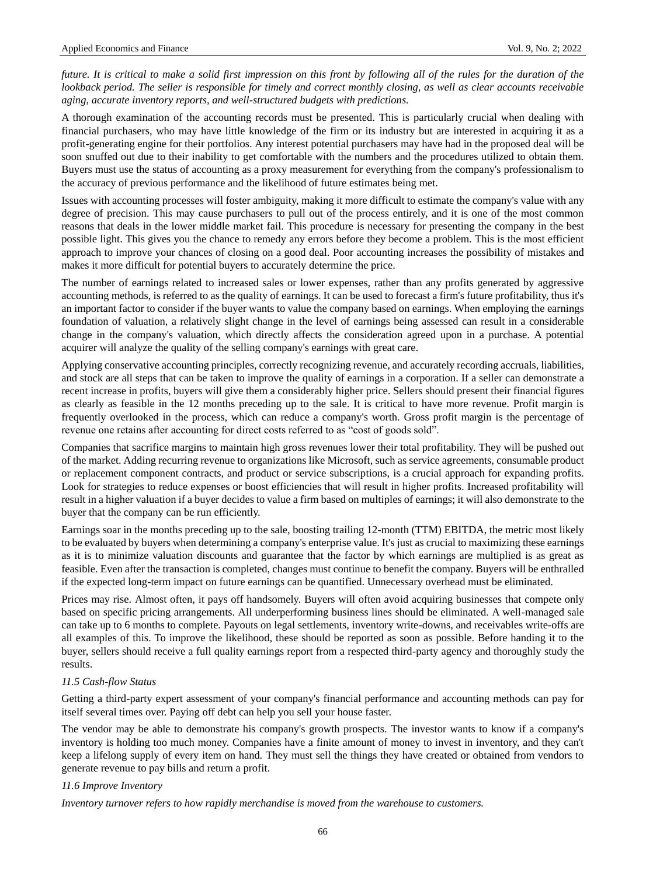*future. It is critical to make a solid first impression on this front by following all of the rules for the duration of the lookback period. The seller is responsible for timely and correct monthly closing, as well as clear accounts receivable aging, accurate inventory reports, and well-structured budgets with predictions.*

A thorough examination of the accounting records must be presented. This is particularly crucial when dealing with financial purchasers, who may have little knowledge of the firm or its industry but are interested in acquiring it as a profit-generating engine for their portfolios. Any interest potential purchasers may have had in the proposed deal will be soon snuffed out due to their inability to get comfortable with the numbers and the procedures utilized to obtain them. Buyers must use the status of accounting as a proxy measurement for everything from the company's professionalism to the accuracy of previous performance and the likelihood of future estimates being met.

Issues with accounting processes will foster ambiguity, making it more difficult to estimate the company's value with any degree of precision. This may cause purchasers to pull out of the process entirely, and it is one of the most common reasons that deals in the lower middle market fail. This procedure is necessary for presenting the company in the best possible light. This gives you the chance to remedy any errors before they become a problem. This is the most efficient approach to improve your chances of closing on a good deal. Poor accounting increases the possibility of mistakes and makes it more difficult for potential buyers to accurately determine the price.

The number of earnings related to increased sales or lower expenses, rather than any profits generated by aggressive accounting methods, is referred to as the quality of earnings. It can be used to forecast a firm's future profitability, thus it's an important factor to consider if the buyer wants to value the company based on earnings. When employing the earnings foundation of valuation, a relatively slight change in the level of earnings being assessed can result in a considerable change in the company's valuation, which directly affects the consideration agreed upon in a purchase. A potential acquirer will analyze the quality of the selling company's earnings with great care.

Applying conservative accounting principles, correctly recognizing revenue, and accurately recording accruals, liabilities, and stock are all steps that can be taken to improve the quality of earnings in a corporation. If a seller can demonstrate a recent increase in profits, buyers will give them a considerably higher price. Sellers should present their financial figures as clearly as feasible in the 12 months preceding up to the sale. It is critical to have more revenue. Profit margin is frequently overlooked in the process, which can reduce a company's worth. Gross profit margin is the percentage of revenue one retains after accounting for direct costs referred to as "cost of goods sold".

Companies that sacrifice margins to maintain high gross revenues lower their total profitability. They will be pushed out of the market. Adding recurring revenue to organizations like Microsoft, such as service agreements, consumable product or replacement component contracts, and product or service subscriptions, is a crucial approach for expanding profits. Look for strategies to reduce expenses or boost efficiencies that will result in higher profits. Increased profitability will result in a higher valuation if a buyer decides to value a firm based on multiples of earnings; it will also demonstrate to the buyer that the company can be run efficiently.

Earnings soar in the months preceding up to the sale, boosting trailing 12-month (TTM) EBITDA, the metric most likely to be evaluated by buyers when determining a company's enterprise value. It's just as crucial to maximizing these earnings as it is to minimize valuation discounts and guarantee that the factor by which earnings are multiplied is as great as feasible. Even after the transaction is completed, changes must continue to benefit the company. Buyers will be enthralled if the expected long-term impact on future earnings can be quantified. Unnecessary overhead must be eliminated.

Prices may rise. Almost often, it pays off handsomely. Buyers will often avoid acquiring businesses that compete only based on specific pricing arrangements. All underperforming business lines should be eliminated. A well-managed sale can take up to 6 months to complete. Payouts on legal settlements, inventory write-downs, and receivables write-offs are all examples of this. To improve the likelihood, these should be reported as soon as possible. Before handing it to the buyer, sellers should receive a full quality earnings report from a respected third-party agency and thoroughly study the results.

## *11.5 Cash-flow Status*

Getting a third-party expert assessment of your company's financial performance and accounting methods can pay for itself several times over. Paying off debt can help you sell your house faster.

The vendor may be able to demonstrate his company's growth prospects. The investor wants to know if a company's inventory is holding too much money. Companies have a finite amount of money to invest in inventory, and they can't keep a lifelong supply of every item on hand. They must sell the things they have created or obtained from vendors to generate revenue to pay bills and return a profit.

#### *11.6 Improve Inventory*

*Inventory turnover refers to how rapidly merchandise is moved from the warehouse to customers.*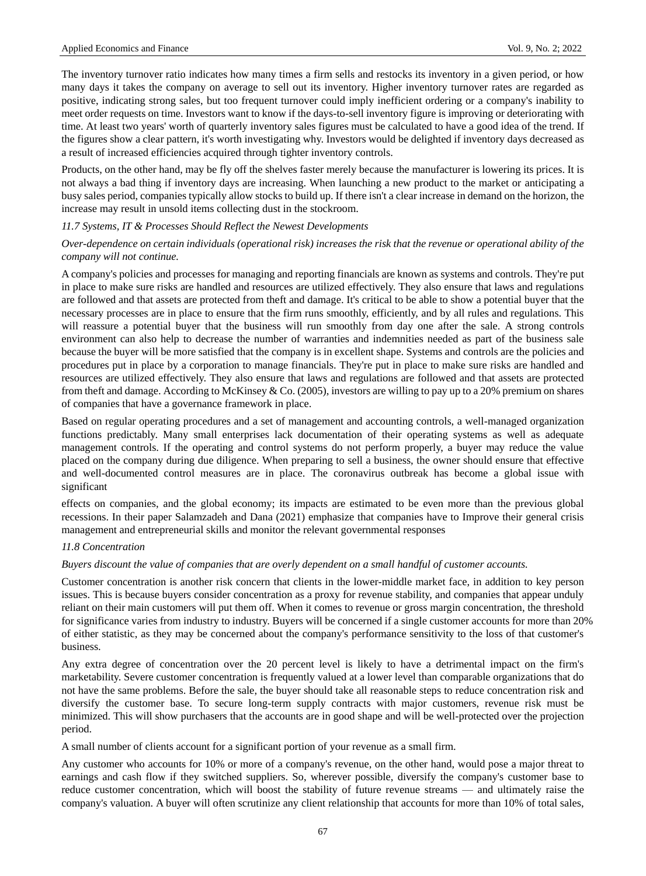The inventory turnover ratio indicates how many times a firm sells and restocks its inventory in a given period, or how many days it takes the company on average to sell out its inventory. Higher inventory turnover rates are regarded as positive, indicating strong sales, but too frequent turnover could imply inefficient ordering or a company's inability to meet order requests on time. Investors want to know if the days-to-sell inventory figure is improving or deteriorating with time. At least two years' worth of quarterly inventory sales figures must be calculated to have a good idea of the trend. If the figures show a clear pattern, it's worth investigating why. Investors would be delighted if inventory days decreased as a result of increased efficiencies acquired through tighter inventory controls.

Products, on the other hand, may be fly off the shelves faster merely because the manufacturer is lowering its prices. It is not always a bad thing if inventory days are increasing. When launching a new product to the market or anticipating a busy sales period, companies typically allow stocks to build up. If there isn't a clear increase in demand on the horizon, the increase may result in unsold items collecting dust in the stockroom.

#### *11.7 Systems, IT & Processes Should Reflect the Newest Developments*

## *Over-dependence on certain individuals (operational risk) increases the risk that the revenue or operational ability of the company will not continue.*

A company's policies and processes for managing and reporting financials are known as systems and controls. They're put in place to make sure risks are handled and resources are utilized effectively. They also ensure that laws and regulations are followed and that assets are protected from theft and damage. It's critical to be able to show a potential buyer that the necessary processes are in place to ensure that the firm runs smoothly, efficiently, and by all rules and regulations. This will reassure a potential buyer that the business will run smoothly from day one after the sale. A strong controls environment can also help to decrease the number of warranties and indemnities needed as part of the business sale because the buyer will be more satisfied that the company is in excellent shape. Systems and controls are the policies and procedures put in place by a corporation to manage financials. They're put in place to make sure risks are handled and resources are utilized effectively. They also ensure that laws and regulations are followed and that assets are protected from theft and damage. According to McKinsey & Co. (2005), investors are willing to pay up to a 20% premium on shares of companies that have a governance framework in place.

Based on regular operating procedures and a set of management and accounting controls, a well-managed organization functions predictably. Many small enterprises lack documentation of their operating systems as well as adequate management controls. If the operating and control systems do not perform properly, a buyer may reduce the value placed on the company during due diligence. When preparing to sell a business, the owner should ensure that effective and well-documented control measures are in place. The coronavirus outbreak has become a global issue with significant

effects on companies, and the global economy; its impacts are estimated to be even more than the previous global recessions. In their paper Salamzadeh and Dana (2021) emphasize that companies have to Improve their general crisis management and entrepreneurial skills and monitor the relevant governmental responses

#### *11.8 Concentration*

#### *Buyers discount the value of companies that are overly dependent on a small handful of customer accounts.*

Customer concentration is another risk concern that clients in the lower-middle market face, in addition to key person issues. This is because buyers consider concentration as a proxy for revenue stability, and companies that appear unduly reliant on their main customers will put them off. When it comes to revenue or gross margin concentration, the threshold for significance varies from industry to industry. Buyers will be concerned if a single customer accounts for more than 20% of either statistic, as they may be concerned about the company's performance sensitivity to the loss of that customer's business.

Any extra degree of concentration over the 20 percent level is likely to have a detrimental impact on the firm's marketability. Severe customer concentration is frequently valued at a lower level than comparable organizations that do not have the same problems. Before the sale, the buyer should take all reasonable steps to reduce concentration risk and diversify the customer base. To secure long-term supply contracts with major customers, revenue risk must be minimized. This will show purchasers that the accounts are in good shape and will be well-protected over the projection period.

A small number of clients account for a significant portion of your revenue as a small firm.

Any customer who accounts for 10% or more of a company's revenue, on the other hand, would pose a major threat to earnings and cash flow if they switched suppliers. So, wherever possible, diversify the company's customer base to reduce customer concentration, which will boost the stability of future revenue streams — and ultimately raise the company's valuation. A buyer will often scrutinize any client relationship that accounts for more than 10% of total sales,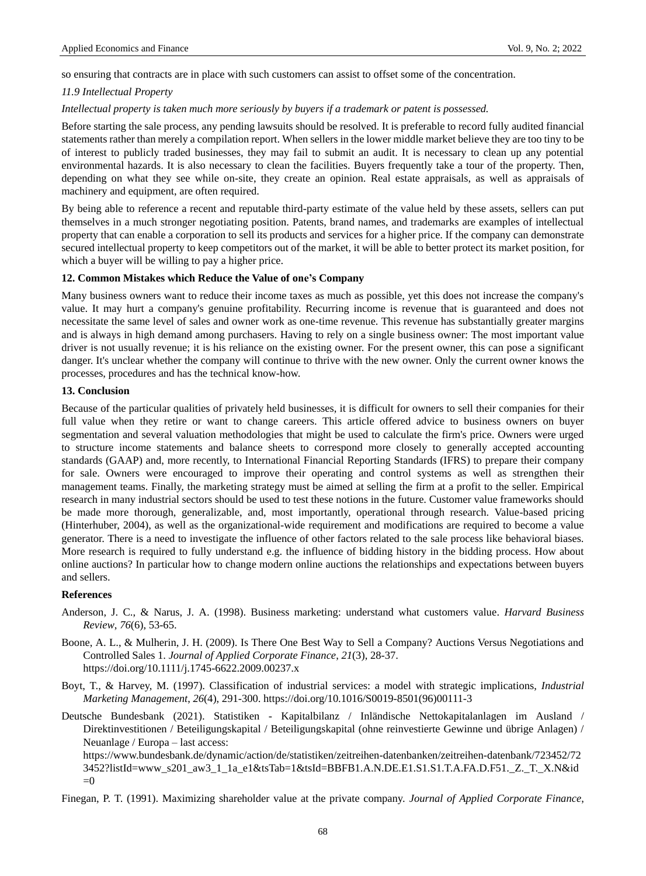so ensuring that contracts are in place with such customers can assist to offset some of the concentration.

## *11.9 Intellectual Property*

#### *Intellectual property is taken much more seriously by buyers if a trademark or patent is possessed.*

Before starting the sale process, any pending lawsuits should be resolved. It is preferable to record fully audited financial statements rather than merely a compilation report. When sellers in the lower middle market believe they are too tiny to be of interest to publicly traded businesses, they may fail to submit an audit. It is necessary to clean up any potential environmental hazards. It is also necessary to clean the facilities. Buyers frequently take a tour of the property. Then, depending on what they see while on-site, they create an opinion. Real estate appraisals, as well as appraisals of machinery and equipment, are often required.

By being able to reference a recent and reputable third-party estimate of the value held by these assets, sellers can put themselves in a much stronger negotiating position. Patents, brand names, and trademarks are examples of intellectual property that can enable a corporation to sell its products and services for a higher price. If the company can demonstrate secured intellectual property to keep competitors out of the market, it will be able to better protect its market position, for which a buyer will be willing to pay a higher price.

## **12. Common Mistakes which Reduce the Value of one's Company**

Many business owners want to reduce their income taxes as much as possible, yet this does not increase the company's value. It may hurt a company's genuine profitability. Recurring income is revenue that is guaranteed and does not necessitate the same level of sales and owner work as one-time revenue. This revenue has substantially greater margins and is always in high demand among purchasers. Having to rely on a single business owner: The most important value driver is not usually revenue; it is his reliance on the existing owner. For the present owner, this can pose a significant danger. It's unclear whether the company will continue to thrive with the new owner. Only the current owner knows the processes, procedures and has the technical know-how.

## **13. Conclusion**

Because of the particular qualities of privately held businesses, it is difficult for owners to sell their companies for their full value when they retire or want to change careers. This article offered advice to business owners on buyer segmentation and several valuation methodologies that might be used to calculate the firm's price. Owners were urged to structure income statements and balance sheets to correspond more closely to generally accepted accounting standards (GAAP) and, more recently, to International Financial Reporting Standards (IFRS) to prepare their company for sale. Owners were encouraged to improve their operating and control systems as well as strengthen their management teams. Finally, the marketing strategy must be aimed at selling the firm at a profit to the seller. Empirical research in many industrial sectors should be used to test these notions in the future. Customer value frameworks should be made more thorough, generalizable, and, most importantly, operational through research. Value-based pricing (Hinterhuber, 2004), as well as the organizational-wide requirement and modifications are required to become a value generator. There is a need to investigate the influence of other factors related to the sale process like behavioral biases. More research is required to fully understand e.g. the influence of bidding history in the bidding process. How about online auctions? In particular how to change modern online auctions the relationships and expectations between buyers and sellers.

#### **References**

- Anderson, J. C., & Narus, J. A. (1998). Business marketing: understand what customers value. *Harvard Business Review*, *76*(6), 53-65.
- Boone, A. L., & Mulherin, J. H. (2009). Is There One Best Way to Sell a Company? Auctions Versus Negotiations and Controlled Sales 1. *Journal of Applied Corporate Finance*, *21*(3), 28-37. https://doi.org/10.1111/j.1745-6622.2009.00237.x
- Boyt, T., & Harvey, M. (1997). Classification of industrial services: a model with strategic implications, *Industrial Marketing Management*, *26*(4), 291-300. https://doi.org/10.1016/S0019-8501(96)00111-3
- Deutsche Bundesbank (2021). Statistiken Kapitalbilanz / Inländische Nettokapitalanlagen im Ausland / Direktinvestitionen / Beteiligungskapital / Beteiligungskapital (ohne reinvestierte Gewinne und übrige Anlagen) / Neuanlage / Europa – last access:

[https://www.bundesbank.de/dynamic/action/de/statistiken/zeitreihen-datenbanken/zeitreihen-datenbank/723452/72](https://www.bundesbank.de/dynamic/action/de/statistiken/zeitreihen-datenbanken/zeitreihen-datenbank/723452/723452?listId=www_s201_aw3_1_1a_e1&tsTab=1&tsId=BBFB1.A.N.DE.E1.S1.S1.T.A.FA.D.F51._Z._T._X.N&id=0) [3452?listId=www\\_s201\\_aw3\\_1\\_1a\\_e1&tsTab=1&tsId=BBFB1.A.N.DE.E1.S1.S1.T.A.FA.D.F51.\\_Z.\\_T.\\_X.N&id](https://www.bundesbank.de/dynamic/action/de/statistiken/zeitreihen-datenbanken/zeitreihen-datenbank/723452/723452?listId=www_s201_aw3_1_1a_e1&tsTab=1&tsId=BBFB1.A.N.DE.E1.S1.S1.T.A.FA.D.F51._Z._T._X.N&id=0)  $=0$ 

Finegan, P. T. (1991). Maximizing shareholder value at the private company. *Journal of Applied Corporate Finance*,